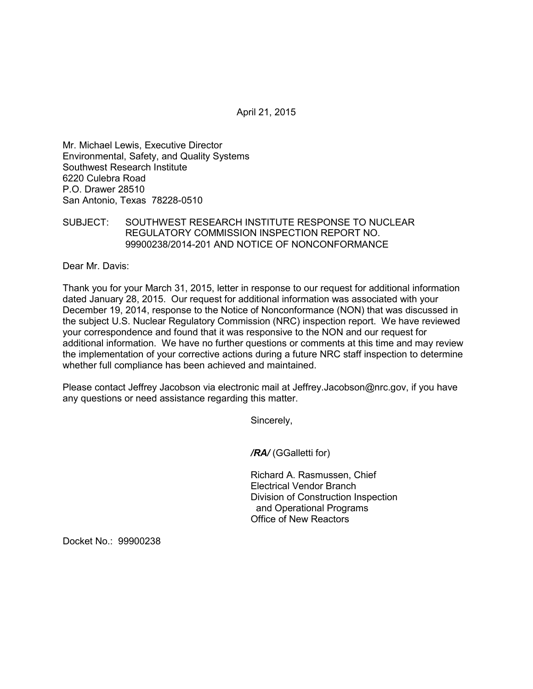April 21, 2015

Mr. Michael Lewis, Executive Director Environmental, Safety, and Quality Systems Southwest Research Institute 6220 Culebra Road P.O. Drawer 28510 San Antonio, Texas 78228-0510

## SUBJECT: SOUTHWEST RESEARCH INSTITUTE RESPONSE TO NUCLEAR REGULATORY COMMISSION INSPECTION REPORT NO. 99900238/2014-201 AND NOTICE OF NONCONFORMANCE

Dear Mr. Davis:

Thank you for your March 31, 2015, letter in response to our request for additional information dated January 28, 2015. Our request for additional information was associated with your December 19, 2014, response to the Notice of Nonconformance (NON) that was discussed in the subject U.S. Nuclear Regulatory Commission (NRC) inspection report. We have reviewed your correspondence and found that it was responsive to the NON and our request for additional information. We have no further questions or comments at this time and may review the implementation of your corrective actions during a future NRC staff inspection to determine whether full compliance has been achieved and maintained.

Please contact Jeffrey Jacobson via electronic mail at Jeffrey.Jacobson@nrc.gov, if you have any questions or need assistance regarding this matter.

Sincerely,

*/RA/* (GGalletti for)

Richard A. Rasmussen, Chief Electrical Vendor Branch Division of Construction Inspection and Operational Programs Office of New Reactors

Docket No.: 99900238